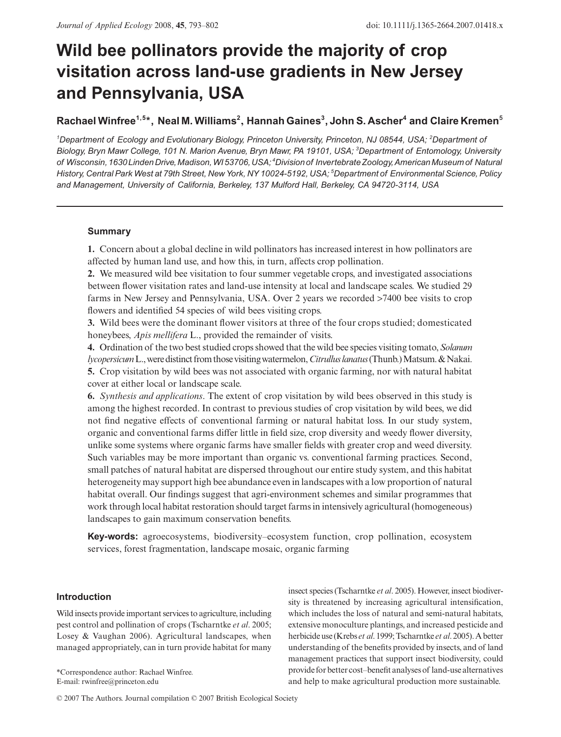# Wild bee pollinators provide the majority of crop **visitation across land-use gradients in New Jersey and Pennsylvania, USA**

# $\mathsf{Rachael}\,\mathsf{Winfree}^{1,5*},\ \mathsf{Neal}\,\mathsf{M}.\ \mathsf{Williams}^2,\ \mathsf{Hannah}\,\mathsf{Gaines}^3,\ \mathsf{John}\,\mathsf{S}.\ \mathsf{Ascher}^4\ \mathsf{and}\ \mathsf{Claire}\,\mathsf{Kremen}^5.$

<sup>1</sup>Department of Ecology and Evolutionary Biology, Princeton University, Princeton, NJ 08544, USA; <sup>2</sup>Department of *Biology, Bryn Mawr College, 101 N. Marion Avenue, Bryn Mawr, PA 19101, USA; 3 Department of Entomology, University of Wisconsin, 1630 Linden Drive, Madison, WI 53706, USA; 4 Division of Invertebrate Zoology, American Museum of Natural History, Central Park West at 79th Street, New York, NY 10024-5192, USA; 5 Department of Environmental Science, Policy and Management, University of California, Berkeley, 137 Mulford Hall, Berkeley, CA 94720-3114, USA*

# **Summary**

**1.** Concern about a global decline in wild pollinators has increased interest in how pollinators are affected by human land use, and how this, in turn, affects crop pollination.

**2.** We measured wild bee visitation to four summer vegetable crops, and investigated associations between flower visitation rates and land-use intensity at local and landscape scales. We studied 29 farms in New Jersey and Pennsylvania, USA. Over 2 years we recorded >7400 bee visits to crop flowers and identified 54 species of wild bees visiting crops.

**3.** Wild bees were the dominant flower visitors at three of the four crops studied; domesticated honeybees, *Apis mellifera* L., provided the remainder of visits.

**4.** Ordination of the two best studied crops showed that the wild bee species visiting tomato, *Solanum lycopersicum*L., were distinct from those visiting watermelon, *Citrullus lanatus*(Thunb.) Matsum. & Nakai. **5.** Crop visitation by wild bees was not associated with organic farming, nor with natural habitat cover at either local or landscape scale.

**6.** *Synthesis and applications*. The extent of crop visitation by wild bees observed in this study is among the highest recorded. In contrast to previous studies of crop visitation by wild bees, we did not find negative effects of conventional farming or natural habitat loss. In our study system, organic and conventional farms differ little in field size, crop diversity and weedy flower diversity, unlike some systems where organic farms have smaller fields with greater crop and weed diversity. Such variables may be more important than organic vs. conventional farming practices. Second, small patches of natural habitat are dispersed throughout our entire study system, and this habitat heterogeneity may support high bee abundance even in landscapes with a low proportion of natural habitat overall. Our findings suggest that agri-environment schemes and similar programmes that work through local habitat restoration should target farms in intensively agricultural (homogeneous) landscapes to gain maximum conservation benefits.

**Key-words:** agroecosystems, biodiversity–ecosystem function, crop pollination, ecosystem services, forest fragmentation, landscape mosaic, organic farming

# **Introduction**

Wild insects provide important services to agriculture, including pest control and pollination of crops (Tscharntke *et al*. 2005; Losey & Vaughan 2006). Agricultural landscapes, when managed appropriately, can in turn provide habitat for many

\*Correspondence author: Rachael Winfree. E-mail: rwinfree@princeton.edu

insect species (Tscharntke *et al*. 2005). However, insect biodiversity is threatened by increasing agricultural intensification, which includes the loss of natural and semi-natural habitats, extensive monoculture plantings, and increased pesticide and herbicide use (Krebs *et al*. 1999; Tscharntke *et al*. 2005). A better understanding of the benefits provided by insects, and of land management practices that support insect biodiversity, could provide for better cost–benefit analyses of land-use alternatives and help to make agricultural production more sustainable.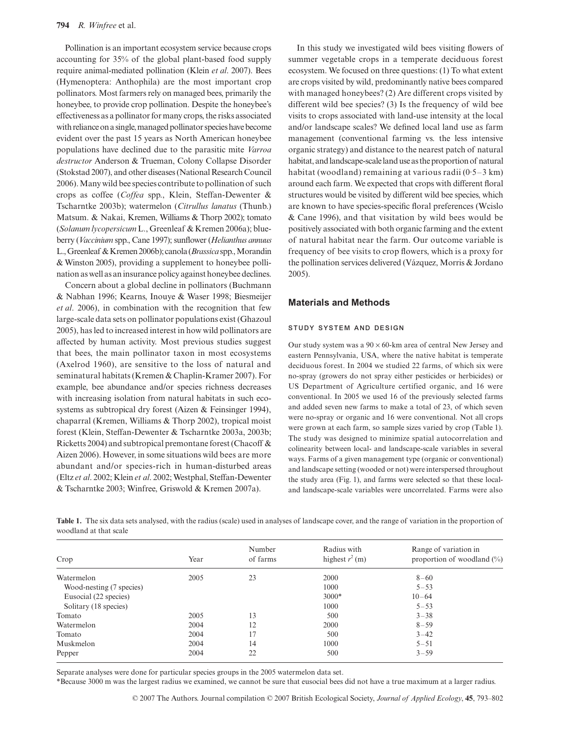Pollination is an important ecosystem service because crops accounting for 35% of the global plant-based food supply require animal-mediated pollination (Klein *et al*. 2007). Bees (Hymenoptera: Anthophila) are the most important crop pollinators. Most farmers rely on managed bees, primarily the honeybee, to provide crop pollination. Despite the honeybee's effectiveness as a pollinator for many crops, the risks associated with reliance on a single, managed pollinator species have become evident over the past 15 years as North American honeybee populations have declined due to the parasitic mite *Varroa destructor* Anderson & Trueman, Colony Collapse Disorder (Stokstad 2007), and other diseases (National Research Council 2006). Many wild bee species contribute to pollination of such crops as coffee (*Coffea* spp., Klein, Steffan-Dewenter & Tscharntke 2003b); watermelon (*Citrullus lanatus* (Thunb.) Matsum. & Nakai, Kremen, Williams & Thorp 2002); tomato (*Solanum lycopersicum* L., Greenleaf & Kremen 2006a); blueberry (*Vaccinium* spp., Cane 1997); sunflower (*Helianthus annuus* L., Greenleaf & Kremen 2006b); canola (*Brassica*spp., Morandin & Winston 2005), providing a supplement to honeybee pollination as well as an insurance policy against honeybee declines.

Concern about a global decline in pollinators (Buchmann & Nabhan 1996; Kearns, Inouye & Waser 1998; Biesmeijer *et al*. 2006), in combination with the recognition that few large-scale data sets on pollinator populations exist (Ghazoul 2005), has led to increased interest in how wild pollinators are affected by human activity. Most previous studies suggest that bees, the main pollinator taxon in most ecosystems (Axelrod 1960), are sensitive to the loss of natural and seminatural habitats (Kremen & Chaplin-Kramer 2007). For example, bee abundance and/or species richness decreases with increasing isolation from natural habitats in such ecosystems as subtropical dry forest (Aizen & Feinsinger 1994), chaparral (Kremen, Williams & Thorp 2002), tropical moist forest (Klein, Steffan-Dewenter & Tscharntke 2003a, 2003b; Ricketts 2004) and subtropical premontane forest (Chacoff & Aizen 2006). However, in some situations wild bees are more abundant and/or species-rich in human-disturbed areas (Eltz *et al*. 2002; Klein *et al*. 2002; Westphal, Steffan-Dewenter & Tscharntke 2003; Winfree, Griswold & Kremen 2007a).

In this study we investigated wild bees visiting flowers of summer vegetable crops in a temperate deciduous forest ecosystem. We focused on three questions: (1) To what extent are crops visited by wild, predominantly native bees compared with managed honeybees? (2) Are different crops visited by different wild bee species? (3) Is the frequency of wild bee visits to crops associated with land-use intensity at the local and/or landscape scales? We defined local land use as farm management (conventional farming vs. the less intensive organic strategy) and distance to the nearest patch of natural habitat, and landscape-scale land use as the proportion of natural habitat (woodland) remaining at various radii (0·5–3 km) around each farm. We expected that crops with different floral structures would be visited by different wild bee species, which are known to have species-specific floral preferences (Wcislo & Cane 1996), and that visitation by wild bees would be positively associated with both organic farming and the extent of natural habitat near the farm. Our outcome variable is frequency of bee visits to crop flowers, which is a proxy for the pollination services delivered (Vázquez, Morris & Jordano 2005).

# **Materials and Methods**

#### **STUDY SYSTEM AND DESIGN**

Our study system was a  $90 \times 60$ -km area of central New Jersey and eastern Pennsylvania, USA, where the native habitat is temperate deciduous forest. In 2004 we studied 22 farms, of which six were no-spray (growers do not spray either pesticides or herbicides) or US Department of Agriculture certified organic, and 16 were conventional. In 2005 we used 16 of the previously selected farms and added seven new farms to make a total of 23, of which seven were no-spray or organic and 16 were conventional. Not all crops were grown at each farm, so sample sizes varied by crop (Table 1). The study was designed to minimize spatial autocorrelation and colinearity between local- and landscape-scale variables in several ways. Farms of a given management type (organic or conventional) and landscape setting (wooded or not) were interspersed throughout the study area (Fig. 1), and farms were selected so that these localand landscape-scale variables were uncorrelated. Farms were also

**Table 1.** The six data sets analysed, with the radius (scale) used in analyses of landscape cover, and the range of variation in the proportion of woodland at that scale

| Crop                     | Year | Number<br>of farms | Radius with<br>highest $r^2$ (m) | Range of variation in<br>proportion of woodland $(\%)$ |  |
|--------------------------|------|--------------------|----------------------------------|--------------------------------------------------------|--|
| Watermelon               | 2005 | 23                 | 2000                             | $8 - 60$                                               |  |
| Wood-nesting (7 species) |      |                    | 1000                             | $5 - 53$                                               |  |
| Eusocial (22 species)    |      | $3000*$            | $10 - 64$                        |                                                        |  |
| Solitary (18 species)    |      |                    | 1000                             | $5 - 53$                                               |  |
| Tomato                   | 2005 | 13                 | 500                              | $3 - 38$                                               |  |
| Watermelon               | 2004 | 12                 | 2000                             | $8 - 59$                                               |  |
| Tomato                   | 2004 | 17                 | 500                              | $3 - 42$                                               |  |
| Muskmelon                | 2004 | 14                 | 1000                             | $5 - 51$                                               |  |
| Pepper                   | 2004 | 22                 | 500                              | $3 - 59$                                               |  |

Separate analyses were done for particular species groups in the 2005 watermelon data set.

\*Because 3000 m was the largest radius we examined, we cannot be sure that eusocial bees did not have a true maximum at a larger radius.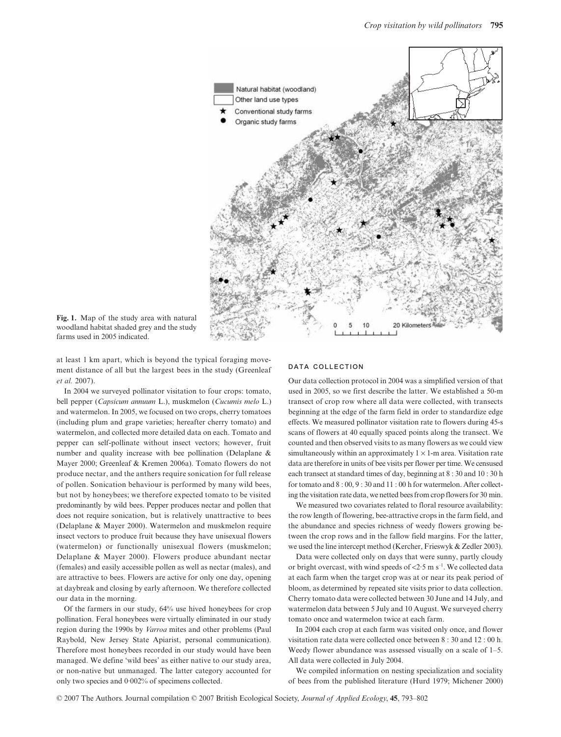

**Fig. 1.** Map of the study area with natural woodland habitat shaded grey and the study farms used in 2005 indicated.

at least 1 km apart, which is beyond the typical foraging movement distance of all but the largest bees in the study (Greenleaf *et al.* 2007).

In 2004 we surveyed pollinator visitation to four crops: tomato, bell pepper (*Capsicum annuum* L.), muskmelon (*Cucumis melo* L.) and watermelon. In 2005, we focused on two crops, cherry tomatoes (including plum and grape varieties; hereafter cherry tomato) and watermelon, and collected more detailed data on each. Tomato and pepper can self-pollinate without insect vectors; however, fruit number and quality increase with bee pollination (Delaplane & Mayer 2000; Greenleaf & Kremen 2006a). Tomato flowers do not produce nectar, and the anthers require sonication for full release of pollen. Sonication behaviour is performed by many wild bees, but not by honeybees; we therefore expected tomato to be visited predominantly by wild bees. Pepper produces nectar and pollen that does not require sonication, but is relatively unattractive to bees (Delaplane & Mayer 2000). Watermelon and muskmelon require insect vectors to produce fruit because they have unisexual flowers (watermelon) or functionally unisexual flowers (muskmelon; Delaplane & Mayer 2000). Flowers produce abundant nectar (females) and easily accessible pollen as well as nectar (males), and are attractive to bees. Flowers are active for only one day, opening at daybreak and closing by early afternoon. We therefore collected our data in the morning.

Of the farmers in our study, 64% use hived honeybees for crop pollination. Feral honeybees were virtually eliminated in our study region during the 1990s by *Varroa* mites and other problems (Paul Raybold, New Jersey State Apiarist, personal communication). Therefore most honeybees recorded in our study would have been managed. We define 'wild bees' as either native to our study area, or non-native but unmanaged. The latter category accounted for only two species and 0·002% of specimens collected.

## **DATA COLLECTION**

Our data collection protocol in 2004 was a simplified version of that used in 2005, so we first describe the latter. We established a 50-m transect of crop row where all data were collected, with transects beginning at the edge of the farm field in order to standardize edge effects. We measured pollinator visitation rate to flowers during 45-s scans of flowers at 40 equally spaced points along the transect. We counted and then observed visits to as many flowers as we could view simultaneously within an approximately  $1 \times 1$ -m area. Visitation rate data are therefore in units of bee visits per flower per time. We censused each transect at standard times of day, beginning at 8 : 30 and 10 : 30 h for tomato and 8 : 00, 9 : 30 and 11 : 00 h for watermelon. After collecting the visitation rate data, we netted bees from crop flowers for 30 min.

We measured two covariates related to floral resource availability: the row length of flowering, bee-attractive crops in the farm field, and the abundance and species richness of weedy flowers growing between the crop rows and in the fallow field margins. For the latter, we used the line intercept method (Kercher, Frieswyk & Zedler 2003).

Data were collected only on days that were sunny, partly cloudy or bright overcast, with wind speeds of  $\langle 2.5 \text{ m s}^{-1} \rangle$ . We collected data at each farm when the target crop was at or near its peak period of bloom, as determined by repeated site visits prior to data collection. Cherry tomato data were collected between 30 June and 14 July, and watermelon data between 5 July and 10 August. We surveyed cherry tomato once and watermelon twice at each farm.

In 2004 each crop at each farm was visited only once, and flower visitation rate data were collected once between 8 : 30 and 12 : 00 h. Weedy flower abundance was assessed visually on a scale of 1–5. All data were collected in July 2004.

We compiled information on nesting specialization and sociality of bees from the published literature (Hurd 1979; Michener 2000)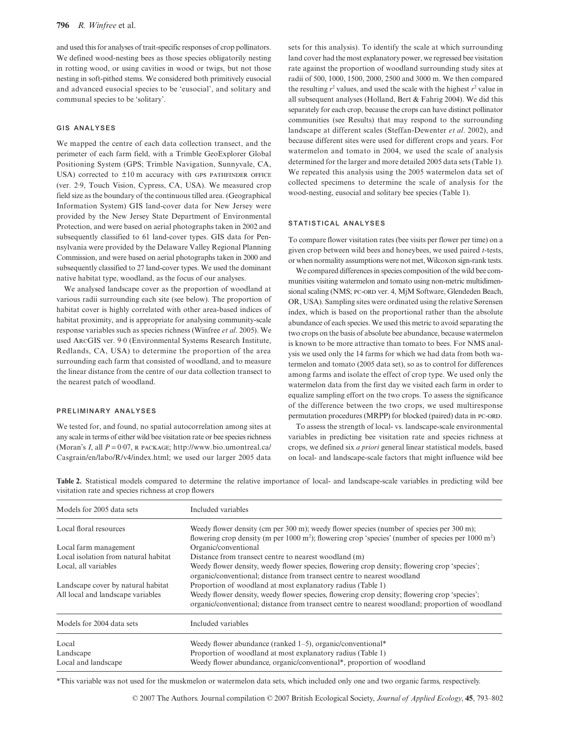and used this for analyses of trait-specific responses of crop pollinators. We defined wood-nesting bees as those species obligatorily nesting in rotting wood, or using cavities in wood or twigs, but not those nesting in soft-pithed stems. We considered both primitively eusocial and advanced eusocial species to be 'eusocial', and solitary and communal species to be 'solitary'.

#### **GIS ANALYSES**

We mapped the centre of each data collection transect, and the perimeter of each farm field, with a Trimble GeoExplorer Global Positioning System (GPS; Trimble Navigation, Sunnyvale, CA, USA) corrected to  $\pm 10$  m accuracy with GPS PATHFINDER OFFICE (ver. 2·9, Touch Vision, Cypress, CA, USA). We measured crop field size as the boundary of the continuous tilled area. (Geographical Information System) GIS land-cover data for New Jersey were provided by the New Jersey State Department of Environmental Protection, and were based on aerial photographs taken in 2002 and subsequently classified to 61 land-cover types. GIS data for Pennsylvania were provided by the Delaware Valley Regional Planning Commission, and were based on aerial photographs taken in 2000 and subsequently classified to 27 land-cover types. We used the dominant native habitat type, woodland, as the focus of our analyses.

We analysed landscape cover as the proportion of woodland at various radii surrounding each site (see below). The proportion of habitat cover is highly correlated with other area-based indices of habitat proximity, and is appropriate for analysing community-scale response variables such as species richness (Winfree *et al*. 2005). We used ARCGIS ver. 9.0 (Environmental Systems Research Institute, Redlands, CA, USA) to determine the proportion of the area surrounding each farm that consisted of woodland, and to measure the linear distance from the centre of our data collection transect to the nearest patch of woodland.

### **PRELIMINARY ANALYSES**

We tested for, and found, no spatial autocorrelation among sites at any scale in terms of either wild bee visitation rate or bee species richness (Moran's *I*, all  $P = 0.07$ , R PACKAGE; [http://www.bio.umontreal.ca/](http://www.bio.umontreal.ca/Casgrain/en/labo/R/v4/index.html) Casgrain/en/labo/R/v4/index.html; we used our larger 2005 data

sets for this analysis). To identify the scale at which surrounding land cover had the most explanatory power, we regressed bee visitation rate against the proportion of woodland surrounding study sites at radii of 500, 1000, 1500, 2000, 2500 and 3000 m. We then compared the resulting  $r^2$  values, and used the scale with the highest  $r^2$  value in all subsequent analyses (Holland, Bert & Fahrig 2004). We did this separately for each crop, because the crops can have distinct pollinator communities (see Results) that may respond to the surrounding landscape at different scales (Steffan-Dewenter *et al*. 2002), and because different sites were used for different crops and years. For watermelon and tomato in 2004, we used the scale of analysis determined for the larger and more detailed 2005 data sets (Table 1). We repeated this analysis using the 2005 watermelon data set of collected specimens to determine the scale of analysis for the wood-nesting, eusocial and solitary bee species (Table 1).

#### **STATISTICAL ANALYSES**

To compare flower visitation rates (bee visits per flower per time) on a given crop between wild bees and honeybees, we used paired *t*-tests, or when normality assumptions were not met, Wilcoxon sign-rank tests.

We compared differences in species composition of the wild bee communities visiting watermelon and tomato using non-metric multidimensional scaling (NMS; PC-ORD ver. 4, MjM Software, Glendeden Beach, OR, USA). Sampling sites were ordinated using the relative Sørensen index, which is based on the proportional rather than the absolute abundance of each species. We used this metric to avoid separating the two crops on the basis of absolute bee abundance, because watermelon is known to be more attractive than tomato to bees. For NMS analysis we used only the 14 farms for which we had data from both watermelon and tomato (2005 data set), so as to control for differences among farms and isolate the effect of crop type. We used only the watermelon data from the first day we visited each farm in order to equalize sampling effort on the two crops. To assess the significance of the difference between the two crops, we used multiresponse permutation procedures (MRPP) for blocked (paired) data in PC-ORD.

To assess the strength of local- vs. landscape-scale environmental variables in predicting bee visitation rate and species richness at crops, we defined six *a priori* general linear statistical models, based on local- and landscape-scale factors that might influence wild bee

**Table 2.** Statistical models compared to determine the relative importance of local- and landscape-scale variables in predicting wild bee visitation rate and species richness at crop flowers

| Models for 2005 data sets            | Included variables                                                                                                                                                                                                       |  |  |  |  |
|--------------------------------------|--------------------------------------------------------------------------------------------------------------------------------------------------------------------------------------------------------------------------|--|--|--|--|
| Local floral resources               | Weedy flower density (cm per 300 m); weedy flower species (number of species per 300 m);<br>flowering crop density (m per 1000 m <sup>2</sup> ); flowering crop 'species' (number of species per $1000$ m <sup>2</sup> ) |  |  |  |  |
| Local farm management                | Organic/conventional                                                                                                                                                                                                     |  |  |  |  |
| Local isolation from natural habitat | Distance from transect centre to nearest woodland (m)                                                                                                                                                                    |  |  |  |  |
| Local, all variables                 | Weedy flower density, weedy flower species, flowering crop density; flowering crop 'species';<br>organic/conventional; distance from transect centre to nearest woodland                                                 |  |  |  |  |
| Landscape cover by natural habitat   | Proportion of woodland at most explanatory radius (Table 1)                                                                                                                                                              |  |  |  |  |
| All local and landscape variables    | Weedy flower density, weedy flower species, flowering crop density; flowering crop 'species';<br>organic/conventional; distance from transect centre to nearest woodland; proportion of woodland                         |  |  |  |  |
| Models for 2004 data sets            | Included variables                                                                                                                                                                                                       |  |  |  |  |
| Local<br>Landscape                   | Weedy flower abundance (ranked $1-5$ ), organic/conventional*<br>Proportion of woodland at most explanatory radius (Table 1)                                                                                             |  |  |  |  |
| Local and landscape                  | Weedy flower abundance, organic/conventional*, proportion of woodland                                                                                                                                                    |  |  |  |  |

\*This variable was not used for the muskmelon or watermelon data sets, which included only one and two organic farms, respectively.

© 2007 The Authors. Journal compilation © 2007 British Ecological Society, *Journal of Applied Ecology*, **45**, 793–802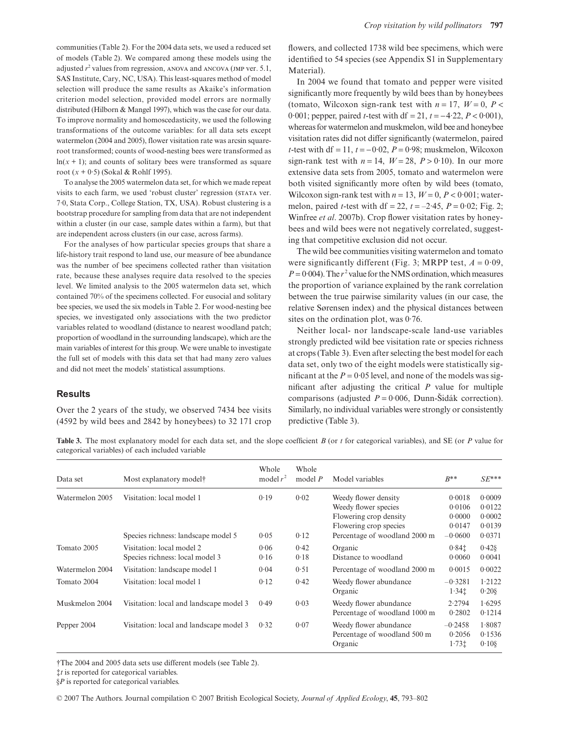communities (Table 2). For the 2004 data sets, we used a reduced set of models (Table 2). We compared among these models using the adjusted  $r^2$  values from regression, ANOVA and ANCOVA (JMP ver. 5.1, SAS Institute, Cary, NC, USA). This least-squares method of model selection will produce the same results as Akaike's information criterion model selection, provided model errors are normally distributed (Hilborn & Mangel 1997), which was the case for our data. To improve normality and homoscedasticity, we used the following transformations of the outcome variables: for all data sets except watermelon (2004 and 2005), flower visitation rate was arcsin squareroot transformed; counts of wood-nesting bees were transformed as  $ln(x + 1)$ ; and counts of solitary bees were transformed as square root (*x* + 0·5) (Sokal & Rohlf 1995).

To analyse the 2005 watermelon data set, for which we made repeat visits to each farm, we used 'robust cluster' regression (STATA ver. 7·0, Stata Corp., College Station, TX, USA). Robust clustering is a bootstrap procedure for sampling from data that are not independent within a cluster (in our case, sample dates within a farm), but that are independent across clusters (in our case, across farms).

For the analyses of how particular species groups that share a life-history trait respond to land use, our measure of bee abundance was the number of bee specimens collected rather than visitation rate, because these analyses require data resolved to the species level. We limited analysis to the 2005 watermelon data set, which contained 70% of the specimens collected. For eusocial and solitary bee species, we used the six models in Table 2. For wood-nesting bee species, we investigated only associations with the two predictor variables related to woodland (distance to nearest woodland patch; proportion of woodland in the surrounding landscape), which are the main variables of interest for this group. We were unable to investigate the full set of models with this data set that had many zero values and did not meet the models' statistical assumptions.

# **Results**

Over the 2 years of the study, we observed 7434 bee visits (4592 by wild bees and 2842 by honeybees) to 32 171 crop flowers, and collected 1738 wild bee specimens, which were identified to 54 species (see Appendix S1 in Supplementary Material).

In 2004 we found that tomato and pepper were visited significantly more frequently by wild bees than by honeybees (tomato, Wilcoxon sign-rank test with  $n = 17$ ,  $W = 0$ ,  $P <$ 0·001; pepper, paired *t*-test with df = 21, *t* = −4·22, *P* < 0·001), whereas for watermelon and muskmelon, wild bee and honeybee visitation rates did not differ significantly (watermelon, paired *t*-test with df = 11,  $t = -0.02$ ,  $P = 0.98$ ; muskmelon, Wilcoxon sign-rank test with  $n = 14$ ,  $W = 28$ ,  $P > 0.10$ ). In our more extensive data sets from 2005, tomato and watermelon were both visited significantly more often by wild bees (tomato, Wilcoxon sign-rank test with  $n = 13$ ,  $W = 0$ ,  $P < 0.001$ ; watermelon, paired *t*-test with df = 22,  $t = -2.45$ ,  $P = 0.02$ ; Fig. 2; Winfree *et al*. 2007b). Crop flower visitation rates by honeybees and wild bees were not negatively correlated, suggesting that competitive exclusion did not occur.

The wild bee communities visiting watermelon and tomato were significantly different (Fig. 3; MRPP test,  $A = 0.09$ ,  $P = 0.004$ ). The  $r<sup>2</sup>$  value for the NMS ordination, which measures the proportion of variance explained by the rank correlation between the true pairwise similarity values (in our case, the relative Sørensen index) and the physical distances between sites on the ordination plot, was 0·76.

Neither local- nor landscape-scale land-use variables strongly predicted wild bee visitation rate or species richness at crops (Table 3). Even after selecting the best model for each data set, only two of the eight models were statistically significant at the  $P = 0.05$  level, and none of the models was significant after adjusting the critical *P* value for multiple comparisons (adjusted  $P = 0.006$ , Dunn-Šidák correction). Similarly, no individual variables were strongly or consistently predictive (Table 3).

**Table 3.** The most explanatory model for each data set, and the slope coefficient *B* (or *t* for categorical variables), and SE (or *P* value for categorical variables) of each included variable

| Data set        | Most explanatory model <sup>†</sup>                          | Whole<br>model $r^2$ | Whole<br>model $P$ | Model variables                                                        | $R^{**}$                     | $SE***$                    |
|-----------------|--------------------------------------------------------------|----------------------|--------------------|------------------------------------------------------------------------|------------------------------|----------------------------|
| Watermelon 2005 | Visitation: local model 1                                    | 0.19                 | 0.02               | Weedy flower density<br>Weedy flower species<br>Flowering crop density | 0.0018<br>0.0106<br>0.0000   | 0.0009<br>0.0122<br>0.0002 |
|                 | Species richness: landscape model 5                          | 0.05                 | 0.12               | Flowering crop species<br>Percentage of woodland 2000 m                | 0.0147<br>$-0.0600$          | 0.0139<br>0.0371           |
| Tomato 2005     | Visitation: local model 2<br>Species richness: local model 3 | 0.06<br>0.16         | 0.42<br>0.18       | Organic<br>Distance to woodland                                        | 0.841<br>0.0060              | 0.428<br>0.0041            |
| Watermelon 2004 | Visitation: landscape model 1                                | 0.04                 | 0.51               | Percentage of woodland 2000 m                                          | 0.0015                       | 0.0022                     |
| Tomato 2004     | Visitation: local model 1                                    | 0.12                 | 0.42               | Weedy flower abundance<br>Organic                                      | $-0.3281$<br>1.341           | 1.2122<br>$0.20\$          |
| Muskmelon 2004  | Visitation: local and landscape model 3                      | 0.49                 | 0.03               | Weedy flower abundance<br>Percentage of woodland 1000 m                | 2.2794<br>0.2802             | 1.6295<br>0.1214           |
| Pepper 2004     | Visitation: local and landscape model 3                      | 0.32                 | 0.07               | Weedy flower abundance<br>Percentage of woodland 500 m<br>Organic      | $-0.2458$<br>0.2056<br>1.731 | 1.8087<br>0.1536<br>0.108  |

†The 2004 and 2005 data sets use different models (see Table 2).

§*P* is reported for categorical variables.

© 2007 The Authors. Journal compilation © 2007 British Ecological Society, *Journal of Applied Ecology*, **45**, 793–802

<sup>‡</sup>*t* is reported for categorical variables.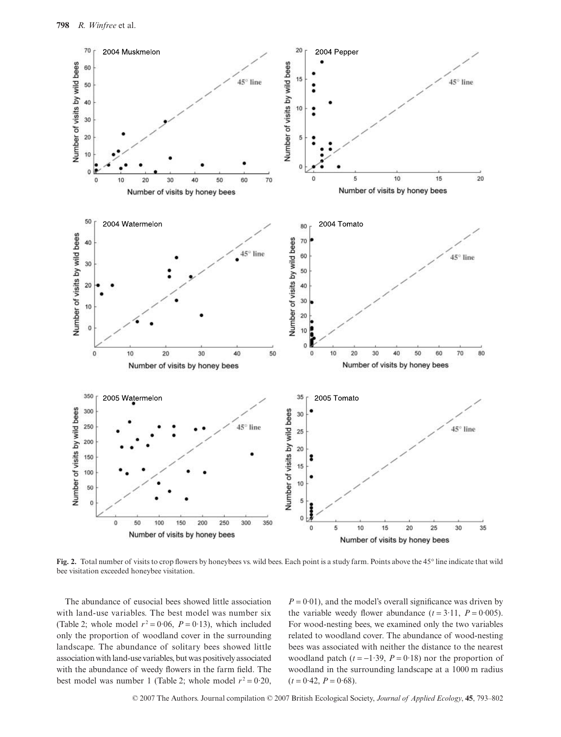

**Fig. 2.** Total number of visits to crop flowers by honeybees vs. wild bees. Each point is a study farm. Points above the 45° line indicate that wild bee visitation exceeded honeybee visitation.

The abundance of eusocial bees showed little association with land-use variables. The best model was number six (Table 2; whole model  $r^2 = 0.06$ ,  $P = 0.13$ ), which included only the proportion of woodland cover in the surrounding landscape. The abundance of solitary bees showed little association with land-use variables, but was positively associated with the abundance of weedy flowers in the farm field. The best model was number 1 (Table 2; whole model  $r^2 = 0.20$ ,

 $P = 0.01$ , and the model's overall significance was driven by the variable weedy flower abundance  $(t = 3.11, P = 0.005)$ . For wood-nesting bees, we examined only the two variables related to woodland cover. The abundance of wood-nesting bees was associated with neither the distance to the nearest woodland patch  $(t = -1.39, P = 0.18)$  nor the proportion of woodland in the surrounding landscape at a 1000 m radius  $(t = 0.42, P = 0.68)$ .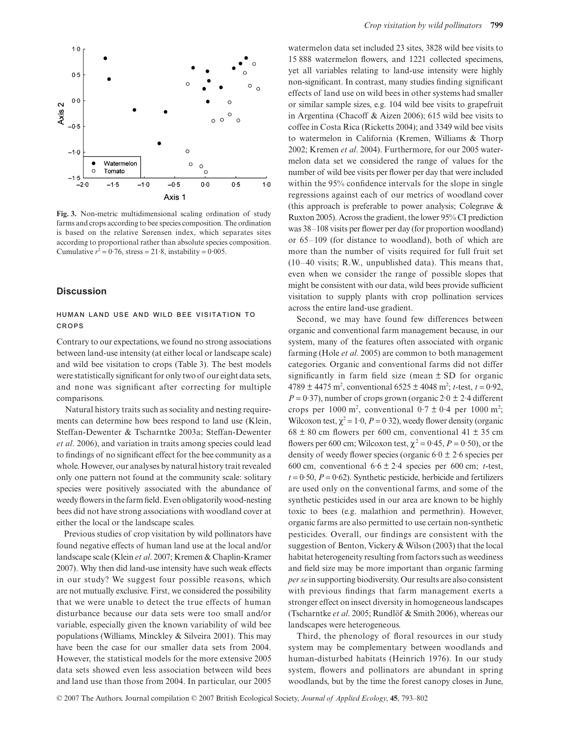

**Fig. 3.** Non-metric multidimensional scaling ordination of study farms and crops according to bee species composition. The ordination is based on the relative Sørensen index, which separates sites according to proportional rather than absolute species composition. Cumulative  $r^2 = 0.76$ , stress = 21.8, instability = 0.005.

## **Discussion**

# **HUMAN LAND USE AND WILD BEE VISITATION TO CROPS**

Contrary to our expectations, we found no strong associations between land-use intensity (at either local or landscape scale) and wild bee visitation to crops (Table 3). The best models were statistically significant for only two of our eight data sets, and none was significant after correcting for multiple comparisons.

Natural history traits such as sociality and nesting requirements can determine how bees respond to land use (Klein, Steffan-Dewenter & Tscharntke 2003a; Steffan-Dewenter *et al*. 2006), and variation in traits among species could lead to findings of no significant effect for the bee community as a whole. However, our analyses by natural history trait revealed only one pattern not found at the community scale: solitary species were positively associated with the abundance of weedy flowers in the farm field. Even obligatorily wood-nesting bees did not have strong associations with woodland cover at either the local or the landscape scales.

Previous studies of crop visitation by wild pollinators have found negative effects of human land use at the local and/or landscape scale (Klein *et al*. 2007; Kremen & Chaplin-Kramer 2007). Why then did land-use intensity have such weak effects in our study? We suggest four possible reasons, which are not mutually exclusive. First, we considered the possibility that we were unable to detect the true effects of human disturbance because our data sets were too small and/or variable, especially given the known variability of wild bee populations (Williams, Minckley & Silveira 2001). This may have been the case for our smaller data sets from 2004. However, the statistical models for the more extensive 2005 data sets showed even less association between wild bees and land use than those from 2004. In particular, our 2005

watermelon data set included 23 sites, 3828 wild bee visits to 15 888 watermelon flowers, and 1221 collected specimens, yet all variables relating to land-use intensity were highly non-significant. In contrast, many studies finding significant effects of land use on wild bees in other systems had smaller or similar sample sizes, e.g. 104 wild bee visits to grapefruit in Argentina (Chacoff & Aizen 2006); 615 wild bee visits to coffee in Costa Rica (Ricketts 2004); and 3349 wild bee visits to watermelon in California (Kremen, Williams & Thorp 2002; Kremen *et al*. 2004). Furthermore, for our 2005 watermelon data set we considered the range of values for the number of wild bee visits per flower per day that were included within the 95% confidence intervals for the slope in single regressions against each of our metrics of woodland cover (this approach is preferable to power analysis; Colegrave & Ruxton 2005). Across the gradient, the lower 95% CI prediction was 38–108 visits per flower per day (for proportion woodland) or 65–109 (for distance to woodland), both of which are more than the number of visits required for full fruit set (10–40 visits; R.W., unpublished data). This means that, even when we consider the range of possible slopes that might be consistent with our data, wild bees provide sufficient visitation to supply plants with crop pollination services across the entire land-use gradient.

Second, we may have found few differences between organic and conventional farm management because, in our system, many of the features often associated with organic farming (Hole *et al*. 2005) are common to both management categories. Organic and conventional farms did not differ significantly in farm field size (mean  $\pm$  SD for organic  $4789 \pm 4475$  m<sup>2</sup>, conventional  $6525 \pm 4048$  m<sup>2</sup>; *t*-test, *t* = 0.92,  $P = 0.37$ ), number of crops grown (organic  $2.0 \pm 2.4$  different crops per 1000 m<sup>2</sup>, conventional  $0.7 \pm 0.4$  per 1000 m<sup>2</sup>; Wilcoxon test,  $\chi^2 = 1.0$ ,  $P = 0.32$ ), weedy flower density (organic  $68 \pm 80$  cm flowers per 600 cm, conventional 41  $\pm$  35 cm flowers per 600 cm; Wilcoxon test,  $\chi^2 = 0.45$ ,  $P = 0.50$ ), or the density of weedy flower species (organic 6·0 ± 2·6 species per 600 cm, conventional  $6.6 \pm 2.4$  species per 600 cm; *t*-test,  $t = 0.50$ ,  $P = 0.62$ ). Synthetic pesticide, herbicide and fertilizers are used only on the conventional farms, and some of the synthetic pesticides used in our area are known to be highly toxic to bees (e.g. malathion and permethrin). However, organic farms are also permitted to use certain non-synthetic pesticides. Overall, our findings are consistent with the suggestion of Benton, Vickery & Wilson (2003) that the local habitat heterogeneity resulting from factors such as weediness and field size may be more important than organic farming *per se* in supporting biodiversity. Our results are also consistent with previous findings that farm management exerts a stronger effect on insect diversity in homogeneous landscapes (Tscharntke *et al*. 2005; Rundlöf & Smith 2006), whereas our landscapes were heterogeneous.

Third, the phenology of floral resources in our study system may be complementary between woodlands and human-disturbed habitats (Heinrich 1976). In our study system, flowers and pollinators are abundant in spring woodlands, but by the time the forest canopy closes in June,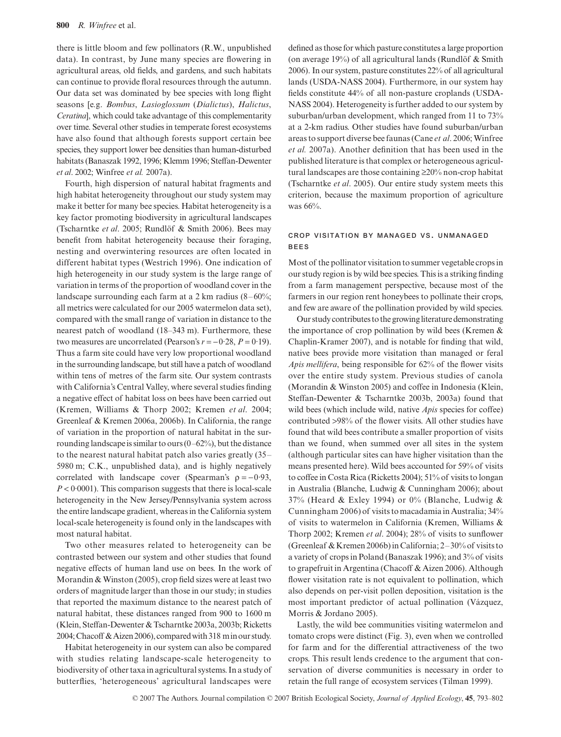there is little bloom and few pollinators (R.W., unpublished data). In contrast, by June many species are flowering in agricultural areas, old fields, and gardens, and such habitats can continue to provide floral resources through the autumn. Our data set was dominated by bee species with long flight seasons [e.g. *Bombus*, *Lasioglossum* (*Dialictus*), *Halictus*, *Ceratina*], which could take advantage of this complementarity over time. Several other studies in temperate forest ecosystems have also found that although forests support certain bee species, they support lower bee densities than human-disturbed habitats (Banaszak 1992, 1996; Klemm 1996; Steffan-Dewenter *et al*. 2002; Winfree *et al.* 2007a).

Fourth, high dispersion of natural habitat fragments and high habitat heterogeneity throughout our study system may make it better for many bee species. Habitat heterogeneity is a key factor promoting biodiversity in agricultural landscapes (Tscharntke *et al*. 2005; Rundlöf & Smith 2006). Bees may benefit from habitat heterogeneity because their foraging, nesting and overwintering resources are often located in different habitat types (Westrich 1996). One indication of high heterogeneity in our study system is the large range of variation in terms of the proportion of woodland cover in the landscape surrounding each farm at a 2 km radius (8–60%; all metrics were calculated for our 2005 watermelon data set), compared with the small range of variation in distance to the nearest patch of woodland (18–343 m). Furthermore, these two measures are uncorrelated (Pearson's  $r = -0.28$ ,  $P = 0.19$ ). Thus a farm site could have very low proportional woodland in the surrounding landscape, but still have a patch of woodland within tens of metres of the farm site. Our system contrasts with California's Central Valley, where several studies finding a negative effect of habitat loss on bees have been carried out (Kremen, Williams & Thorp 2002; Kremen *et al*. 2004; Greenleaf & Kremen 2006a, 2006b). In California, the range of variation in the proportion of natural habitat in the surrounding landscape is similar to ours  $(0-62\%)$ , but the distance to the nearest natural habitat patch also varies greatly (35– 5980 m; C.K., unpublished data), and is highly negatively correlated with landscape cover (Spearman's  $\rho = -0.93$ ,  $P < 0.0001$ ). This comparison suggests that there is local-scale heterogeneity in the New Jersey/Pennsylvania system across the entire landscape gradient, whereas in the California system local-scale heterogeneity is found only in the landscapes with most natural habitat.

Two other measures related to heterogeneity can be contrasted between our system and other studies that found negative effects of human land use on bees. In the work of Morandin & Winston (2005), crop field sizes were at least two orders of magnitude larger than those in our study; in studies that reported the maximum distance to the nearest patch of natural habitat, these distances ranged from 900 to 1600 m (Klein, Steffan-Dewenter & Tscharntke 2003a, 2003b; Ricketts 2004; Chacoff & Aizen 2006), compared with 318 m in our study.

Habitat heterogeneity in our system can also be compared with studies relating landscape-scale heterogeneity to biodiversity of other taxa in agricultural systems. In a study of butterflies, 'heterogeneous' agricultural landscapes were

defined as those for which pasture constitutes a large proportion (on average 19%) of all agricultural lands (Rundlöf & Smith 2006). In our system, pasture constitutes 22% of all agricultural lands (USDA-NASS 2004). Furthermore, in our system hay fields constitute 44% of all non-pasture croplands (USDA-NASS 2004). Heterogeneity is further added to our system by suburban/urban development, which ranged from 11 to 73% at a 2-km radius. Other studies have found suburban/urban areas to support diverse bee faunas (Cane *et al*. 2006; Winfree *et al.* 2007a). Another definition that has been used in the published literature is that complex or heterogeneous agricultural landscapes are those containing ≥20% non-crop habitat (Tscharntke *et al*. 2005). Our entire study system meets this criterion, because the maximum proportion of agriculture was 66%.

# **CROP VISITATION BY MANAGED VS. UNMANAGED BEES**

Most of the pollinator visitation to summer vegetable crops in our study region is by wild bee species. This is a striking finding from a farm management perspective, because most of the farmers in our region rent honeybees to pollinate their crops, and few are aware of the pollination provided by wild species.

Our study contributes to the growing literature demonstrating the importance of crop pollination by wild bees (Kremen & Chaplin-Kramer 2007), and is notable for finding that wild, native bees provide more visitation than managed or feral *Apis mellifera*, being responsible for 62% of the flower visits over the entire study system. Previous studies of canola (Morandin & Winston 2005) and coffee in Indonesia (Klein, Steffan-Dewenter & Tscharntke 2003b, 2003a) found that wild bees (which include wild, native *Apis* species for coffee) contributed >98% of the flower visits. All other studies have found that wild bees contribute a smaller proportion of visits than we found, when summed over all sites in the system (although particular sites can have higher visitation than the means presented here). Wild bees accounted for 59% of visits to coffee in Costa Rica (Ricketts 2004); 51% of visits to longan in Australia (Blanche, Ludwig & Cunningham 2006); about 37% (Heard & Exley 1994) or 0% (Blanche, Ludwig & Cunningham 2006) of visits to macadamia in Australia; 34% of visits to watermelon in California (Kremen, Williams & Thorp 2002; Kremen *et al*. 2004); 28% of visits to sunflower (Greenleaf & Kremen 2006b) in California; 2–30% of visits to a variety of crops in Poland (Banaszak 1996); and 3% of visits to grapefruit in Argentina (Chacoff & Aizen 2006). Although flower visitation rate is not equivalent to pollination, which also depends on per-visit pollen deposition, visitation is the most important predictor of actual pollination (Vázquez, Morris & Jordano 2005).

Lastly, the wild bee communities visiting watermelon and tomato crops were distinct (Fig. 3), even when we controlled for farm and for the differential attractiveness of the two crops. This result lends credence to the argument that conservation of diverse communities is necessary in order to retain the full range of ecosystem services (Tilman 1999).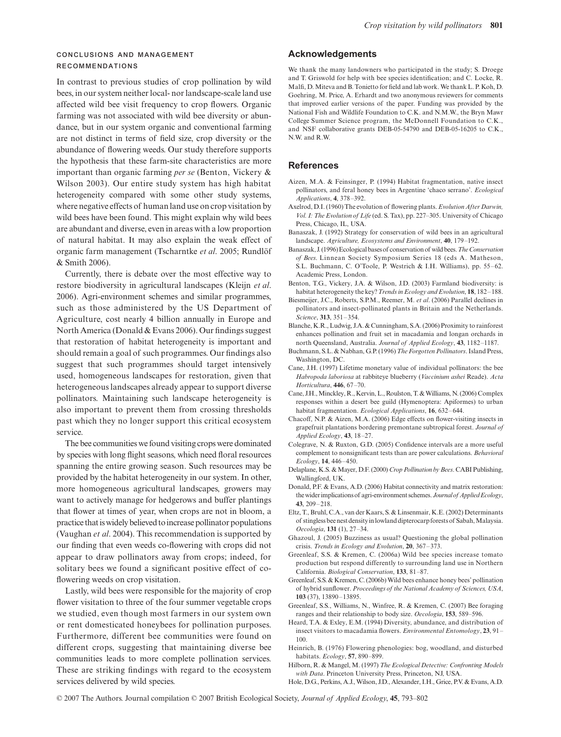## **CONCLUSIONS AND MANAGEMENT RECOMMENDATIONS**

In contrast to previous studies of crop pollination by wild bees, in our system neither local- nor landscape-scale land use affected wild bee visit frequency to crop flowers. Organic farming was not associated with wild bee diversity or abundance, but in our system organic and conventional farming are not distinct in terms of field size, crop diversity or the abundance of flowering weeds. Our study therefore supports the hypothesis that these farm-site characteristics are more important than organic farming *per se* (Benton, Vickery & Wilson 2003). Our entire study system has high habitat heterogeneity compared with some other study systems, where negative effects of human land use on crop visitation by wild bees have been found. This might explain why wild bees are abundant and diverse, even in areas with a low proportion of natural habitat. It may also explain the weak effect of organic farm management (Tscharntke *et al*. 2005; Rundlöf & Smith 2006).

Currently, there is debate over the most effective way to restore biodiversity in agricultural landscapes (Kleijn *et al*. 2006). Agri-environment schemes and similar programmes, such as those administered by the US Department of Agriculture, cost nearly 4 billion annually in Europe and North America (Donald & Evans 2006). Our findings suggest that restoration of habitat heterogeneity is important and should remain a goal of such programmes. Our findings also suggest that such programmes should target intensively used, homogeneous landscapes for restoration, given that heterogeneous landscapes already appear to support diverse pollinators. Maintaining such landscape heterogeneity is also important to prevent them from crossing thresholds past which they no longer support this critical ecosystem service.

The bee communities we found visiting crops were dominated by species with long flight seasons, which need floral resources spanning the entire growing season. Such resources may be provided by the habitat heterogeneity in our system. In other, more homogeneous agricultural landscapes, growers may want to actively manage for hedgerows and buffer plantings that flower at times of year, when crops are not in bloom, a practice that is widely believed to increase pollinator populations (Vaughan *et al*. 2004). This recommendation is supported by our finding that even weeds co-flowering with crops did not appear to draw pollinators away from crops; indeed, for solitary bees we found a significant positive effect of coflowering weeds on crop visitation.

Lastly, wild bees were responsible for the majority of crop flower visitation to three of the four summer vegetable crops we studied, even though most farmers in our system own or rent domesticated honeybees for pollination purposes. Furthermore, different bee communities were found on different crops, suggesting that maintaining diverse bee communities leads to more complete pollination services. These are striking findings with regard to the ecosystem services delivered by wild species.

## **Acknowledgements**

We thank the many landowners who participated in the study; S. Droege and T. Griswold for help with bee species identification; and C. Locke, R. Malfi, D. Miteva and B. Tonietto for field and lab work. We thank L. P. Koh, D. Goehring, M. Price, A. Erhardt and two anonymous reviewers for comments that improved earlier versions of the paper. Funding was provided by the National Fish and Wildlife Foundation to C.K. and N.M.W., the Bryn Mawr College Summer Science program, the McDonnell Foundation to C.K., and NSF collaborative grants DEB-05-54790 and DEB-05-16205 to C.K., N.W. and R.W.

## **References**

- Aizen, M.A. & Feinsinger, P. (1994) Habitat fragmentation, native insect pollinators, and feral honey bees in Argentine 'chaco serrano'. *Ecological Applications*, **4**, 378–392.
- Axelrod, D.I. (1960) The evolution of flowering plants. *Evolution After Darwin, Vol. I: The Evolution of Life* (ed. S. Tax), pp. 227–305. University of Chicago Press, Chicago, IL, USA.
- Banaszak, J. (1992) Strategy for conservation of wild bees in an agricultural landscape. *Agriculture, Ecosystems and Environment*, **40**, 179–192.
- Banaszak, J. (1996) Ecological bases of conservation of wild bees. *The Conservation of Bees*. Linnean Society Symposium Series 18 (eds A. Matheson, S.L. Buchmann, C. O'Toole, P. Westrich & I.H. Williams), pp. 55–62. Academic Press, London.
- Benton, T.G., Vickery, J.A. & Wilson, J.D. (2003) Farmland biodiversity: is habitat heterogeneity the key? *Trends in Ecology and Evolution*, **18**, 182–188.
- Biesmeijer, J.C., Roberts, S.P.M., Reemer, M. *et al*. (2006) Parallel declines in pollinators and insect-pollinated plants in Britain and the Netherlands. *Science*, **313**, 351–354.
- Blanche, K.R., Ludwig, J.A. & Cunningham, S.A. (2006) Proximity to rainforest enhances pollination and fruit set in macadamia and longan orchards in north Queensland, Australia. *Journal of Applied Ecology*, **43**, 1182–1187.
- Buchmann, S.L. & Nabhan, G.P. (1996) *The Forgotten Pollinators*. Island Press, Washington, DC.
- Cane, J.H. (1997) Lifetime monetary value of individual pollinators: the bee *Habropoda laboriosa* at rabbiteye blueberry (*Vaccinium ashei* Reade). *Acta Horticultura*, **446**, 67–70.
- Cane, J.H., Minckley, R., Kervin, L., Roulston, T. & Williams, N. (2006) Complex responses within a desert bee guild (Hymenoptera: Apiformes) to urban habitat fragmentation. *Ecological Applications*, **16**, 632–644.
- Chacoff, N.P. & Aizen, M.A. (2006) Edge effects on flower-visiting insects in grapefruit plantations bordering premontane subtropical forest. *Journal of Applied Ecology*, **43**, 18–27.
- Colegrave, N. & Ruxton, G.D. (2005) Confidence intervals are a more useful complement to nonsignificant tests than are power calculations. *Behavioral Ecology*, **14**, 446–450.
- Delaplane, K.S. & Mayer, D.F. (2000) *Crop Pollination by Bees*. CABI Publishing, Wallingford, UK.
- Donald, P.F. & Evans, A.D. (2006) Habitat connectivity and matrix restoration: the wider implications of agri-environment schemes. *Journal of Applied Ecology*, **43**, 209–218.
- Eltz, T., Bruhl, C.A., van der Kaars, S. & Linsenmair, K.E. (2002) Determinants of stingless bee nest density in lowland dipterocarp forests of Sabah, Malaysia. *Oecologia*, **131** (1), 27–34.
- Ghazoul, J. (2005) Buzziness as usual? Questioning the global pollination crisis. *Trends in Ecology and Evolution*, **20**, 367–373.
- Greenleaf, S.S. & Kremen, C. (2006a) Wild bee species increase tomato production but respond differently to surrounding land use in Northern California. *Biological Conservation*, **133**, 81–87.
- Greenleaf, S.S. & Kremen, C. (2006b) Wild bees enhance honey bees' pollination of hybrid sunflower. *Proceedings of the National Academy of Sciences, USA*, **103** (37), 13890–13895.
- Greenleaf, S.S., Williams, N., Winfree, R. & Kremen, C. (2007) Bee foraging ranges and their relationship to body size. *Oecologia*, **153**, 589–596.
- Heard, T.A. & Exley, E.M. (1994) Diversity, abundance, and distribution of insect visitors to macadamia flowers. *Environmental Entomology*, **23**, 91– 100.
- Heinrich, B. (1976) Flowering phenologies: bog, woodland, and disturbed habitats. *Ecology*, **57**, 890–899.
- Hilborn, R. & Mangel, M. (1997) *The Ecological Detective: Confronting Models with Data*. Princeton University Press, Princeton, NJ, USA.
- Hole, D.G., Perkins, A.J., Wilson, J.D., Alexander, I.H., Grice, P.V. & Evans, A.D.